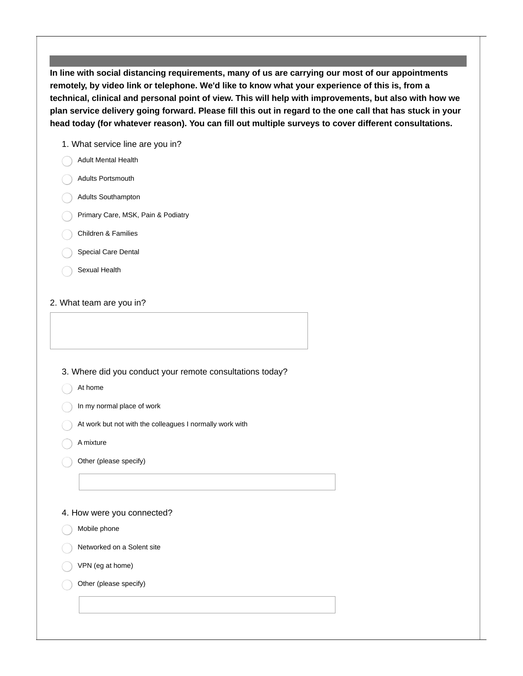**In line with social distancing requirements, many of us are carrying our most of our appointments remotely, by video link or telephone. We'd like to know what your experience of this is, from a technical, clinical and personal point of view. This will help with improvements, but also with how we** plan service delivery going forward. Please fill this out in regard to the one call that has stuck in your **head today (for whatever reason). You can fill out multiple surveys to cover different consultations.**

1. What service line are you in?

- Adult Mental Health
- Adults Portsmouth
- Adults Southampton
- Primary Care, MSK, Pain & Podiatry
- Children & Families
- Special Care Dental
- Sexual Health

## 2. What team are you in?

## 3. Where did you conduct your remote consultations today?

- At home
- In my normal place of work
- At work but not with the colleagues I normally work with
- A mixture
- Other (please specify)

## 4. How were you connected?

- Mobile phone
- Networked on a Solent site
- VPN (eg at home)
- Other (please specify)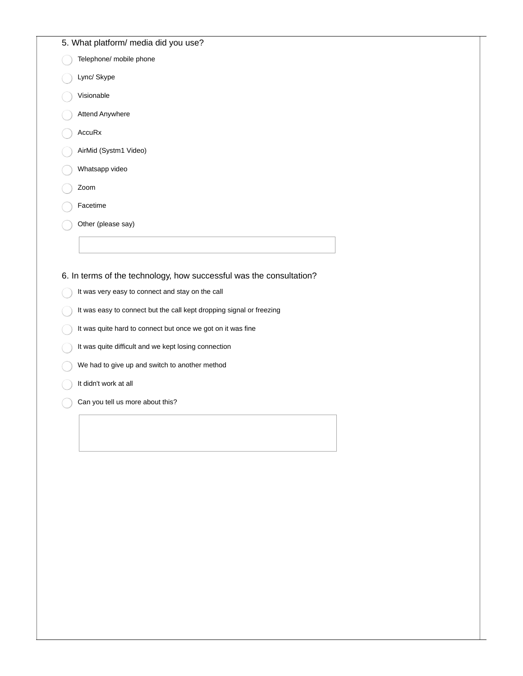## 5. What platform/ media did you use?

- Telephone/ mobile phone
- Lync/ Skype
- Visionable
- Attend Anywhere
- AccuRx
- AirMid (Systm1 Video)
- Whatsapp video
- Zoom
- Facetime
- Other (please say)

6. In terms of the technology, how successful was the consultation?

- It was very easy to connect and stay on the call
- It was easy to connect but the call kept dropping signal or freezing
- It was quite hard to connect but once we got on it was fine
- It was quite difficult and we kept losing connection
- We had to give up and switch to another method
- It didn't work at all
- Can you tell us more about this?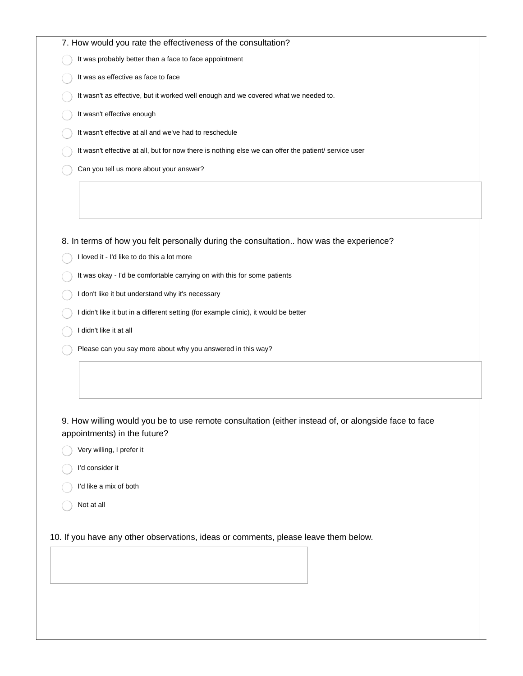|            | 7. How would you rate the effectiveness of the consultation?<br>It was probably better than a face to face appointment<br>It was as effective as face to face<br>It wasn't as effective, but it worked well enough and we covered what we needed to.<br>It wasn't effective enough<br>It wasn't effective at all and we've had to reschedule<br>It wasn't effective at all, but for now there is nothing else we can offer the patient/ service user<br>Can you tell us more about your answer?<br>8. In terms of how you felt personally during the consultation how was the experience?<br>I loved it - I'd like to do this a lot more<br>It was okay - I'd be comfortable carrying on with this for some patients<br>I don't like it but understand why it's necessary<br>I didn't like it but in a different setting (for example clinic), it would be better<br>I didn't like it at all<br>Please can you say more about why you answered in this way? |
|------------|-------------------------------------------------------------------------------------------------------------------------------------------------------------------------------------------------------------------------------------------------------------------------------------------------------------------------------------------------------------------------------------------------------------------------------------------------------------------------------------------------------------------------------------------------------------------------------------------------------------------------------------------------------------------------------------------------------------------------------------------------------------------------------------------------------------------------------------------------------------------------------------------------------------------------------------------------------------|
|            |                                                                                                                                                                                                                                                                                                                                                                                                                                                                                                                                                                                                                                                                                                                                                                                                                                                                                                                                                             |
|            |                                                                                                                                                                                                                                                                                                                                                                                                                                                                                                                                                                                                                                                                                                                                                                                                                                                                                                                                                             |
|            |                                                                                                                                                                                                                                                                                                                                                                                                                                                                                                                                                                                                                                                                                                                                                                                                                                                                                                                                                             |
|            |                                                                                                                                                                                                                                                                                                                                                                                                                                                                                                                                                                                                                                                                                                                                                                                                                                                                                                                                                             |
|            |                                                                                                                                                                                                                                                                                                                                                                                                                                                                                                                                                                                                                                                                                                                                                                                                                                                                                                                                                             |
|            |                                                                                                                                                                                                                                                                                                                                                                                                                                                                                                                                                                                                                                                                                                                                                                                                                                                                                                                                                             |
|            |                                                                                                                                                                                                                                                                                                                                                                                                                                                                                                                                                                                                                                                                                                                                                                                                                                                                                                                                                             |
|            |                                                                                                                                                                                                                                                                                                                                                                                                                                                                                                                                                                                                                                                                                                                                                                                                                                                                                                                                                             |
|            |                                                                                                                                                                                                                                                                                                                                                                                                                                                                                                                                                                                                                                                                                                                                                                                                                                                                                                                                                             |
|            |                                                                                                                                                                                                                                                                                                                                                                                                                                                                                                                                                                                                                                                                                                                                                                                                                                                                                                                                                             |
|            |                                                                                                                                                                                                                                                                                                                                                                                                                                                                                                                                                                                                                                                                                                                                                                                                                                                                                                                                                             |
|            |                                                                                                                                                                                                                                                                                                                                                                                                                                                                                                                                                                                                                                                                                                                                                                                                                                                                                                                                                             |
|            |                                                                                                                                                                                                                                                                                                                                                                                                                                                                                                                                                                                                                                                                                                                                                                                                                                                                                                                                                             |
|            |                                                                                                                                                                                                                                                                                                                                                                                                                                                                                                                                                                                                                                                                                                                                                                                                                                                                                                                                                             |
|            |                                                                                                                                                                                                                                                                                                                                                                                                                                                                                                                                                                                                                                                                                                                                                                                                                                                                                                                                                             |
|            |                                                                                                                                                                                                                                                                                                                                                                                                                                                                                                                                                                                                                                                                                                                                                                                                                                                                                                                                                             |
|            |                                                                                                                                                                                                                                                                                                                                                                                                                                                                                                                                                                                                                                                                                                                                                                                                                                                                                                                                                             |
|            | 9. How willing would you be to use remote consultation (either instead of, or alongside face to face<br>appointments) in the future?                                                                                                                                                                                                                                                                                                                                                                                                                                                                                                                                                                                                                                                                                                                                                                                                                        |
|            | Very willing, I prefer it                                                                                                                                                                                                                                                                                                                                                                                                                                                                                                                                                                                                                                                                                                                                                                                                                                                                                                                                   |
|            | I'd consider it                                                                                                                                                                                                                                                                                                                                                                                                                                                                                                                                                                                                                                                                                                                                                                                                                                                                                                                                             |
|            | I'd like a mix of both                                                                                                                                                                                                                                                                                                                                                                                                                                                                                                                                                                                                                                                                                                                                                                                                                                                                                                                                      |
| Not at all |                                                                                                                                                                                                                                                                                                                                                                                                                                                                                                                                                                                                                                                                                                                                                                                                                                                                                                                                                             |
|            |                                                                                                                                                                                                                                                                                                                                                                                                                                                                                                                                                                                                                                                                                                                                                                                                                                                                                                                                                             |
|            | 10. If you have any other observations, ideas or comments, please leave them below.                                                                                                                                                                                                                                                                                                                                                                                                                                                                                                                                                                                                                                                                                                                                                                                                                                                                         |
|            |                                                                                                                                                                                                                                                                                                                                                                                                                                                                                                                                                                                                                                                                                                                                                                                                                                                                                                                                                             |
|            |                                                                                                                                                                                                                                                                                                                                                                                                                                                                                                                                                                                                                                                                                                                                                                                                                                                                                                                                                             |
|            |                                                                                                                                                                                                                                                                                                                                                                                                                                                                                                                                                                                                                                                                                                                                                                                                                                                                                                                                                             |